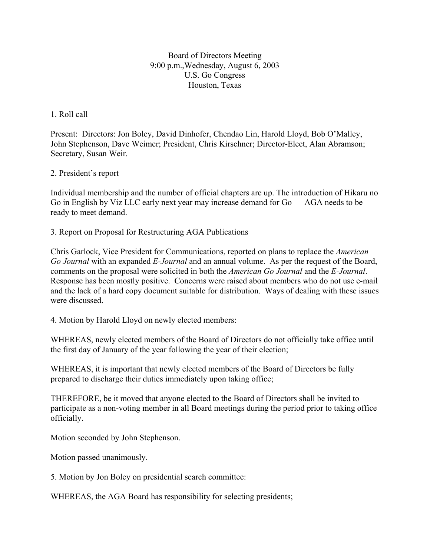Board of Directors Meeting 9:00 p.m.,Wednesday, August 6, 2003 U.S. Go Congress Houston, Texas

## 1. Roll call

Present: Directors: Jon Boley, David Dinhofer, Chendao Lin, Harold Lloyd, Bob O'Malley, John Stephenson, Dave Weimer; President, Chris Kirschner; Director-Elect, Alan Abramson; Secretary, Susan Weir.

## 2. President's report

Individual membership and the number of official chapters are up. The introduction of Hikaru no Go in English by Viz LLC early next year may increase demand for Go — AGA needs to be ready to meet demand.

3. Report on Proposal for Restructuring AGA Publications

Chris Garlock, Vice President for Communications, reported on plans to replace the *American Go Journal* with an expanded *E-Journal* and an annual volume. As per the request of the Board, comments on the proposal were solicited in both the *American Go Journal* and the *E-Journal*. Response has been mostly positive. Concerns were raised about members who do not use e-mail and the lack of a hard copy document suitable for distribution. Ways of dealing with these issues were discussed.

4. Motion by Harold Lloyd on newly elected members:

WHEREAS, newly elected members of the Board of Directors do not officially take office until the first day of January of the year following the year of their election;

WHEREAS, it is important that newly elected members of the Board of Directors be fully prepared to discharge their duties immediately upon taking office;

THEREFORE, be it moved that anyone elected to the Board of Directors shall be invited to participate as a non-voting member in all Board meetings during the period prior to taking office officially.

Motion seconded by John Stephenson.

Motion passed unanimously.

5. Motion by Jon Boley on presidential search committee:

WHEREAS, the AGA Board has responsibility for selecting presidents;